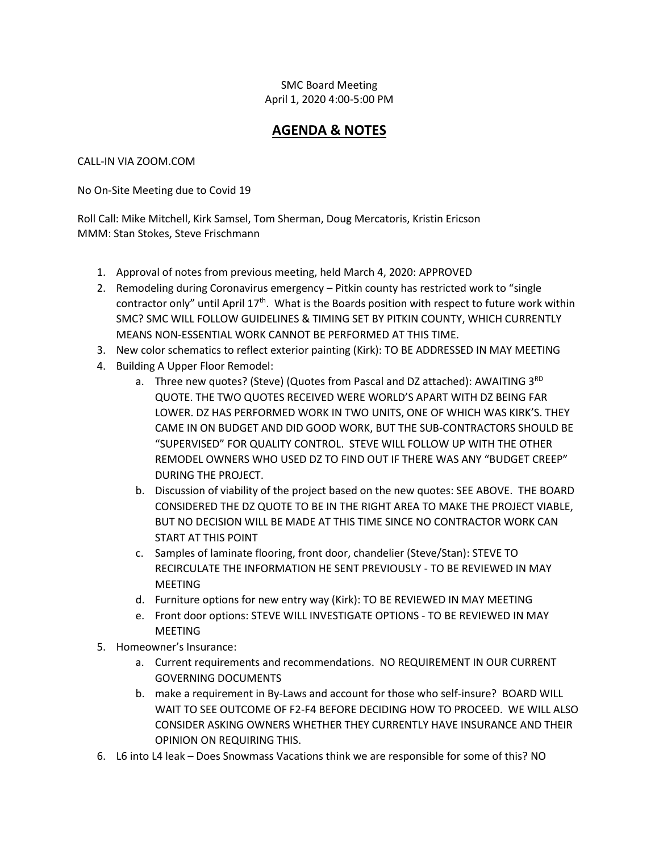## SMC Board Meeting April 1, 2020 4:00-5:00 PM

## **AGENDA & NOTES**

## CALL-IN VIA ZOOM.COM

No On-Site Meeting due to Covid 19

Roll Call: Mike Mitchell, Kirk Samsel, Tom Sherman, Doug Mercatoris, Kristin Ericson MMM: Stan Stokes, Steve Frischmann

- 1. Approval of notes from previous meeting, held March 4, 2020: APPROVED
- 2. Remodeling during Coronavirus emergency Pitkin county has restricted work to "single contractor only" until April  $17<sup>th</sup>$ . What is the Boards position with respect to future work within SMC? SMC WILL FOLLOW GUIDELINES & TIMING SET BY PITKIN COUNTY, WHICH CURRENTLY MEANS NON-ESSENTIAL WORK CANNOT BE PERFORMED AT THIS TIME.
- 3. New color schematics to reflect exterior painting (Kirk): TO BE ADDRESSED IN MAY MEETING
- 4. Building A Upper Floor Remodel:
	- a. Three new quotes? (Steve) (Quotes from Pascal and DZ attached): AWAITING  $3^{RD}$ QUOTE. THE TWO QUOTES RECEIVED WERE WORLD'S APART WITH DZ BEING FAR LOWER. DZ HAS PERFORMED WORK IN TWO UNITS, ONE OF WHICH WAS KIRK'S. THEY CAME IN ON BUDGET AND DID GOOD WORK, BUT THE SUB-CONTRACTORS SHOULD BE "SUPERVISED" FOR QUALITY CONTROL. STEVE WILL FOLLOW UP WITH THE OTHER REMODEL OWNERS WHO USED DZ TO FIND OUT IF THERE WAS ANY "BUDGET CREEP" DURING THE PROJECT.
	- b. Discussion of viability of the project based on the new quotes: SEE ABOVE. THE BOARD CONSIDERED THE DZ QUOTE TO BE IN THE RIGHT AREA TO MAKE THE PROJECT VIABLE, BUT NO DECISION WILL BE MADE AT THIS TIME SINCE NO CONTRACTOR WORK CAN START AT THIS POINT
	- c. Samples of laminate flooring, front door, chandelier (Steve/Stan): STEVE TO RECIRCULATE THE INFORMATION HE SENT PREVIOUSLY - TO BE REVIEWED IN MAY MEETING
	- d. Furniture options for new entry way (Kirk): TO BE REVIEWED IN MAY MEETING
	- e. Front door options: STEVE WILL INVESTIGATE OPTIONS TO BE REVIEWED IN MAY MEETING
- 5. Homeowner's Insurance:
	- a. Current requirements and recommendations. NO REQUIREMENT IN OUR CURRENT GOVERNING DOCUMENTS
	- b. make a requirement in By-Laws and account for those who self-insure? BOARD WILL WAIT TO SEE OUTCOME OF F2-F4 BEFORE DECIDING HOW TO PROCEED. WE WILL ALSO CONSIDER ASKING OWNERS WHETHER THEY CURRENTLY HAVE INSURANCE AND THEIR OPINION ON REQUIRING THIS.
- 6. L6 into L4 leak Does Snowmass Vacations think we are responsible for some of this? NO